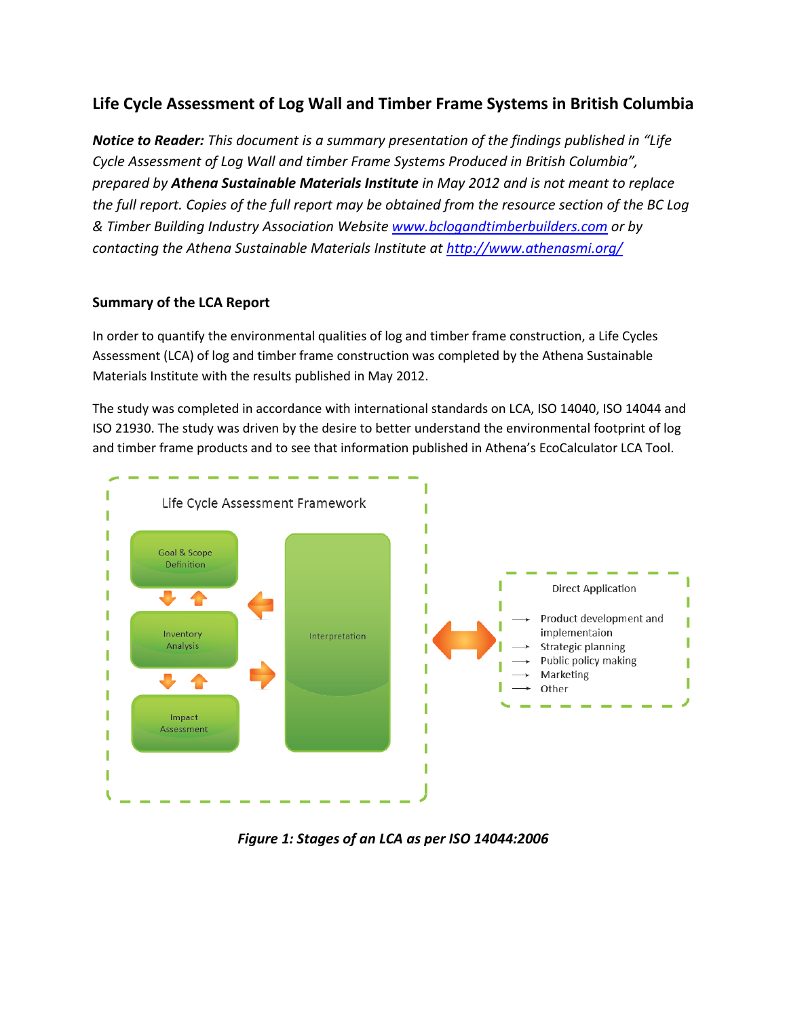# **Life Cycle Assessment of Log Wall and Timber Frame Systems in British Columbia**

*Notice to Reader: This document is a summary presentation of the findings published in "Life Cycle Assessment of Log Wall and timber Frame Systems Produced in British Columbia", prepared by Athena Sustainable Materials Institute in May 2012 and is not meant to replace the full report. Copies of the full report may be obtained from the resource section of the BC Log & Timber Building Industry Association Website [www.bclogandtimberbuilders.com](http://www.bclogandtimberbuilders.com/) or by contacting the Athena Sustainable Materials Institute at<http://www.athenasmi.org/>*

## **Summary of the LCA Report**

In order to quantify the environmental qualities of log and timber frame construction, a Life Cycles Assessment (LCA) of log and timber frame construction was completed by the Athena Sustainable Materials Institute with the results published in May 2012.

The study was completed in accordance with international standards on LCA, ISO 14040, ISO 14044 and ISO 21930. The study was driven by the desire to better understand the environmental footprint of log and timber frame products and to see that information published in Athena's EcoCalculator LCA Tool.



*Figure 1: Stages of an LCA as per ISO 14044:2006*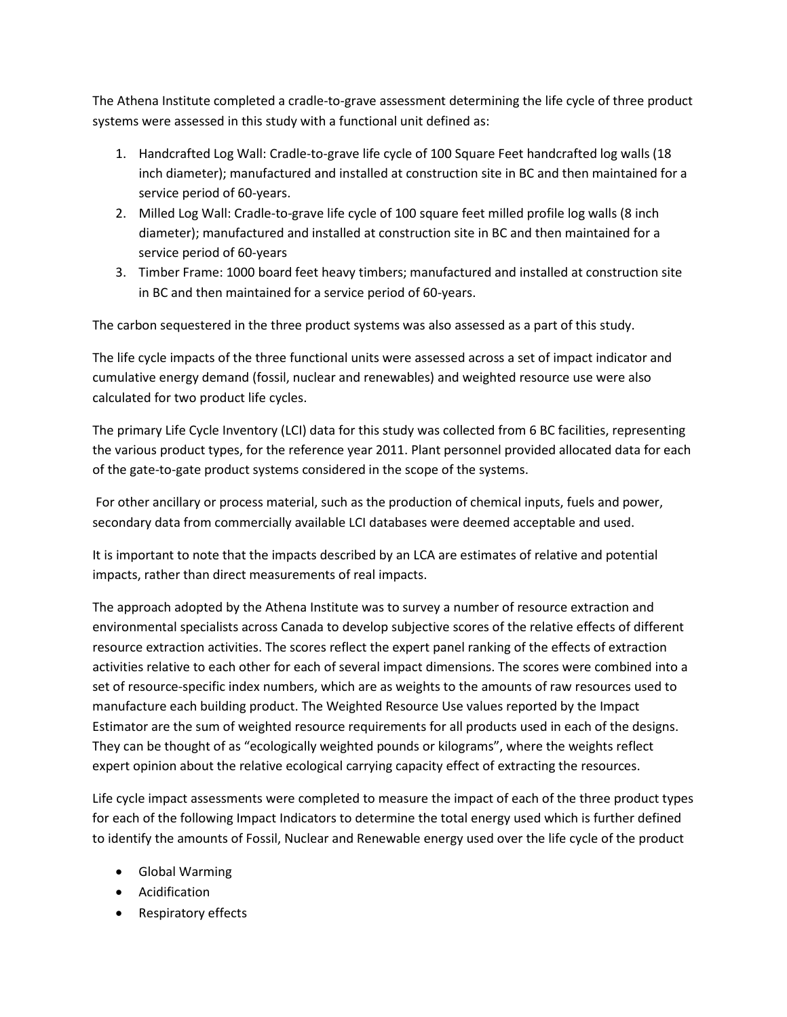The Athena Institute completed a cradle-to-grave assessment determining the life cycle of three product systems were assessed in this study with a functional unit defined as:

- 1. Handcrafted Log Wall: Cradle-to-grave life cycle of 100 Square Feet handcrafted log walls (18 inch diameter); manufactured and installed at construction site in BC and then maintained for a service period of 60-years.
- 2. Milled Log Wall: Cradle-to-grave life cycle of 100 square feet milled profile log walls (8 inch diameter); manufactured and installed at construction site in BC and then maintained for a service period of 60-years
- 3. Timber Frame: 1000 board feet heavy timbers; manufactured and installed at construction site in BC and then maintained for a service period of 60-years.

The carbon sequestered in the three product systems was also assessed as a part of this study.

The life cycle impacts of the three functional units were assessed across a set of impact indicator and cumulative energy demand (fossil, nuclear and renewables) and weighted resource use were also calculated for two product life cycles.

The primary Life Cycle Inventory (LCI) data for this study was collected from 6 BC facilities, representing the various product types, for the reference year 2011. Plant personnel provided allocated data for each of the gate-to-gate product systems considered in the scope of the systems.

For other ancillary or process material, such as the production of chemical inputs, fuels and power, secondary data from commercially available LCI databases were deemed acceptable and used.

It is important to note that the impacts described by an LCA are estimates of relative and potential impacts, rather than direct measurements of real impacts.

The approach adopted by the Athena Institute was to survey a number of resource extraction and environmental specialists across Canada to develop subjective scores of the relative effects of different resource extraction activities. The scores reflect the expert panel ranking of the effects of extraction activities relative to each other for each of several impact dimensions. The scores were combined into a set of resource-specific index numbers, which are as weights to the amounts of raw resources used to manufacture each building product. The Weighted Resource Use values reported by the Impact Estimator are the sum of weighted resource requirements for all products used in each of the designs. They can be thought of as "ecologically weighted pounds or kilograms", where the weights reflect expert opinion about the relative ecological carrying capacity effect of extracting the resources.

Life cycle impact assessments were completed to measure the impact of each of the three product types for each of the following Impact Indicators to determine the total energy used which is further defined to identify the amounts of Fossil, Nuclear and Renewable energy used over the life cycle of the product

- Global Warming
- Acidification
- Respiratory effects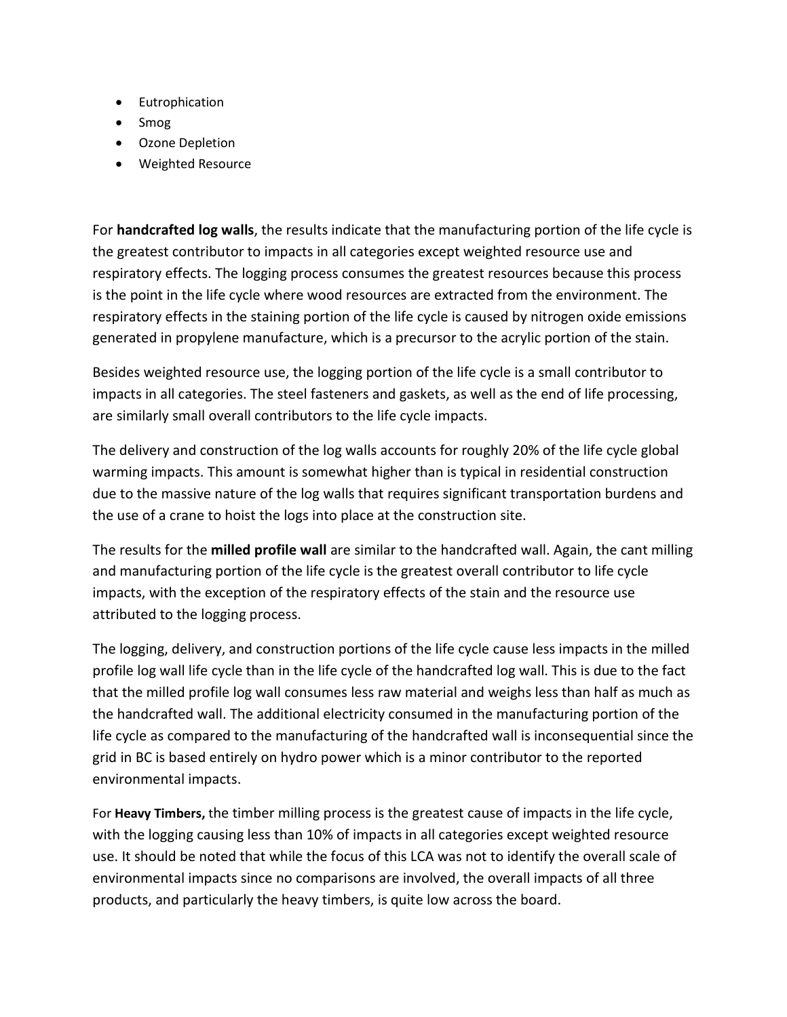- Eutrophication
- Smog
- Ozone Depletion
- Weighted Resource

For **handcrafted log walls**, the results indicate that the manufacturing portion of the life cycle is the greatest contributor to impacts in all categories except weighted resource use and respiratory effects. The logging process consumes the greatest resources because this process is the point in the life cycle where wood resources are extracted from the environment. The respiratory effects in the staining portion of the life cycle is caused by nitrogen oxide emissions generated in propylene manufacture, which is a precursor to the acrylic portion of the stain.

Besides weighted resource use, the logging portion of the life cycle is a small contributor to impacts in all categories. The steel fasteners and gaskets, as well as the end of life processing, are similarly small overall contributors to the life cycle impacts.

The delivery and construction of the log walls accounts for roughly 20% of the life cycle global warming impacts. This amount is somewhat higher than is typical in residential construction due to the massive nature of the log walls that requires significant transportation burdens and the use of a crane to hoist the logs into place at the construction site.

The results for the **milled profile wall** are similar to the handcrafted wall. Again, the cant milling and manufacturing portion of the life cycle is the greatest overall contributor to life cycle impacts, with the exception of the respiratory effects of the stain and the resource use attributed to the logging process.

The logging, delivery, and construction portions of the life cycle cause less impacts in the milled profile log wall life cycle than in the life cycle of the handcrafted log wall. This is due to the fact that the milled profile log wall consumes less raw material and weighs less than half as much as the handcrafted wall. The additional electricity consumed in the manufacturing portion of the life cycle as compared to the manufacturing of the handcrafted wall is inconsequential since the grid in BC is based entirely on hydro power which is a minor contributor to the reported environmental impacts.

For **Heavy Timbers,** the timber milling process is the greatest cause of impacts in the life cycle, with the logging causing less than 10% of impacts in all categories except weighted resource use. It should be noted that while the focus of this LCA was not to identify the overall scale of environmental impacts since no comparisons are involved, the overall impacts of all three products, and particularly the heavy timbers, is quite low across the board.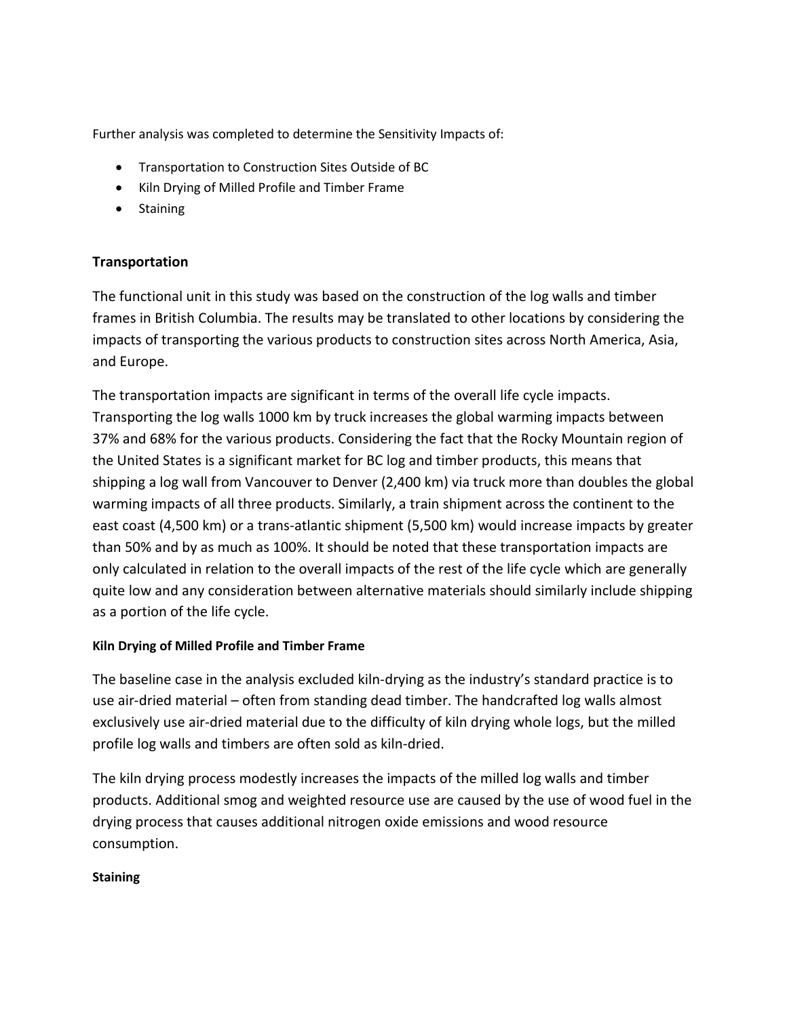Further analysis was completed to determine the Sensitivity Impacts of:

- Transportation to Construction Sites Outside of BC
- Kiln Drying of Milled Profile and Timber Frame
- Staining

## **Transportation**

The functional unit in this study was based on the construction of the log walls and timber frames in British Columbia. The results may be translated to other locations by considering the impacts of transporting the various products to construction sites across North America, Asia, and Europe.

The transportation impacts are significant in terms of the overall life cycle impacts. Transporting the log walls 1000 km by truck increases the global warming impacts between 37% and 68% for the various products. Considering the fact that the Rocky Mountain region of the United States is a significant market for BC log and timber products, this means that shipping a log wall from Vancouver to Denver (2,400 km) via truck more than doubles the global warming impacts of all three products. Similarly, a train shipment across the continent to the east coast (4,500 km) or a trans-atlantic shipment (5,500 km) would increase impacts by greater than 50% and by as much as 100%. It should be noted that these transportation impacts are only calculated in relation to the overall impacts of the rest of the life cycle which are generally quite low and any consideration between alternative materials should similarly include shipping as a portion of the life cycle.

## **Kiln Drying of Milled Profile and Timber Frame**

The baseline case in the analysis excluded kiln-drying as the industry's standard practice is to use air-dried material – often from standing dead timber. The handcrafted log walls almost exclusively use air-dried material due to the difficulty of kiln drying whole logs, but the milled profile log walls and timbers are often sold as kiln-dried.

The kiln drying process modestly increases the impacts of the milled log walls and timber products. Additional smog and weighted resource use are caused by the use of wood fuel in the drying process that causes additional nitrogen oxide emissions and wood resource consumption.

#### **Staining**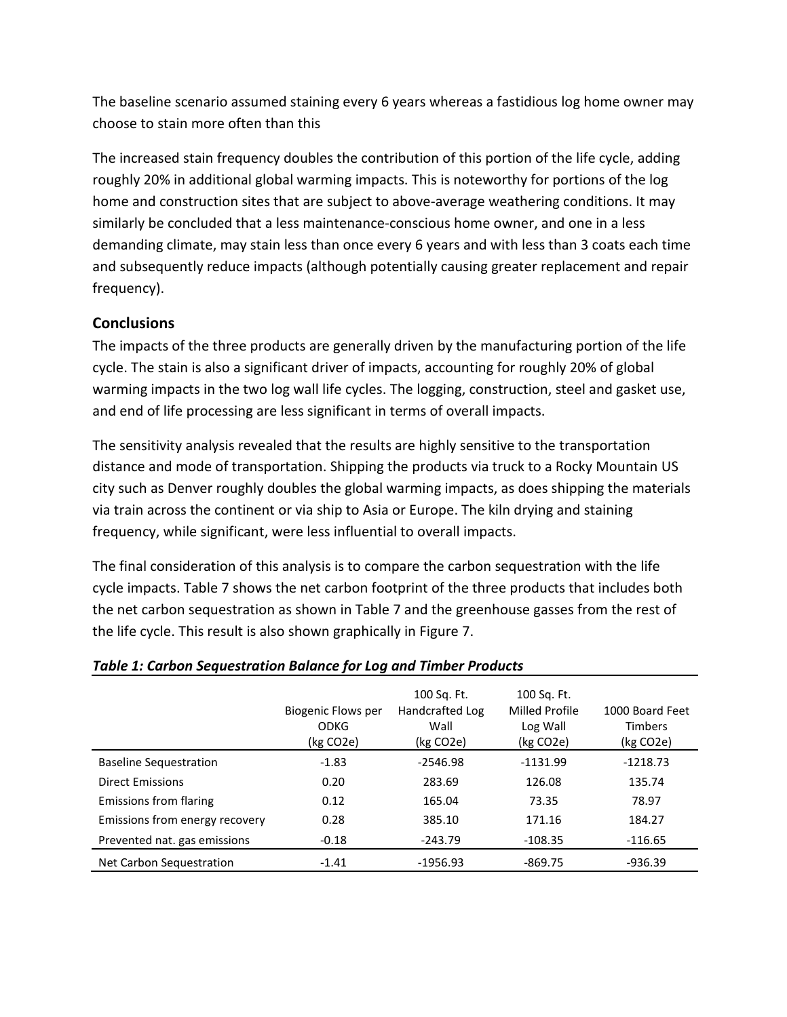The baseline scenario assumed staining every 6 years whereas a fastidious log home owner may choose to stain more often than this

The increased stain frequency doubles the contribution of this portion of the life cycle, adding roughly 20% in additional global warming impacts. This is noteworthy for portions of the log home and construction sites that are subject to above-average weathering conditions. It may similarly be concluded that a less maintenance-conscious home owner, and one in a less demanding climate, may stain less than once every 6 years and with less than 3 coats each time and subsequently reduce impacts (although potentially causing greater replacement and repair frequency).

## **Conclusions**

The impacts of the three products are generally driven by the manufacturing portion of the life cycle. The stain is also a significant driver of impacts, accounting for roughly 20% of global warming impacts in the two log wall life cycles. The logging, construction, steel and gasket use, and end of life processing are less significant in terms of overall impacts.

The sensitivity analysis revealed that the results are highly sensitive to the transportation distance and mode of transportation. Shipping the products via truck to a Rocky Mountain US city such as Denver roughly doubles the global warming impacts, as does shipping the materials via train across the continent or via ship to Asia or Europe. The kiln drying and staining frequency, while significant, were less influential to overall impacts.

The final consideration of this analysis is to compare the carbon sequestration with the life cycle impacts. Table 7 shows the net carbon footprint of the three products that includes both the net carbon sequestration as shown in Table 7 and the greenhouse gasses from the rest of the life cycle. This result is also shown graphically in Figure 7.

|                                | Biogenic Flows per<br>ODKG<br>(kg CO2e) | 100 Sq. Ft.<br>Handcrafted Log<br>Wall<br>(kg CO2e) | 100 Sq. Ft.<br>Milled Profile<br>Log Wall<br>(kg CO2e) | 1000 Board Feet<br><b>Timbers</b><br>(kg CO2e) |
|--------------------------------|-----------------------------------------|-----------------------------------------------------|--------------------------------------------------------|------------------------------------------------|
| <b>Baseline Sequestration</b>  | $-1.83$                                 | $-2546.98$                                          | $-1131.99$                                             | $-1218.73$                                     |
| <b>Direct Emissions</b>        | 0.20                                    | 283.69                                              | 126.08                                                 | 135.74                                         |
| Emissions from flaring         | 0.12                                    | 165.04                                              | 73.35                                                  | 78.97                                          |
| Emissions from energy recovery | 0.28                                    | 385.10                                              | 171.16                                                 | 184.27                                         |
| Prevented nat. gas emissions   | $-0.18$                                 | $-243.79$                                           | $-108.35$                                              | $-116.65$                                      |
| Net Carbon Sequestration       | $-1.41$                                 | $-1956.93$                                          | $-869.75$                                              | $-936.39$                                      |

## *Table 1: Carbon Sequestration Balance for Log and Timber Products*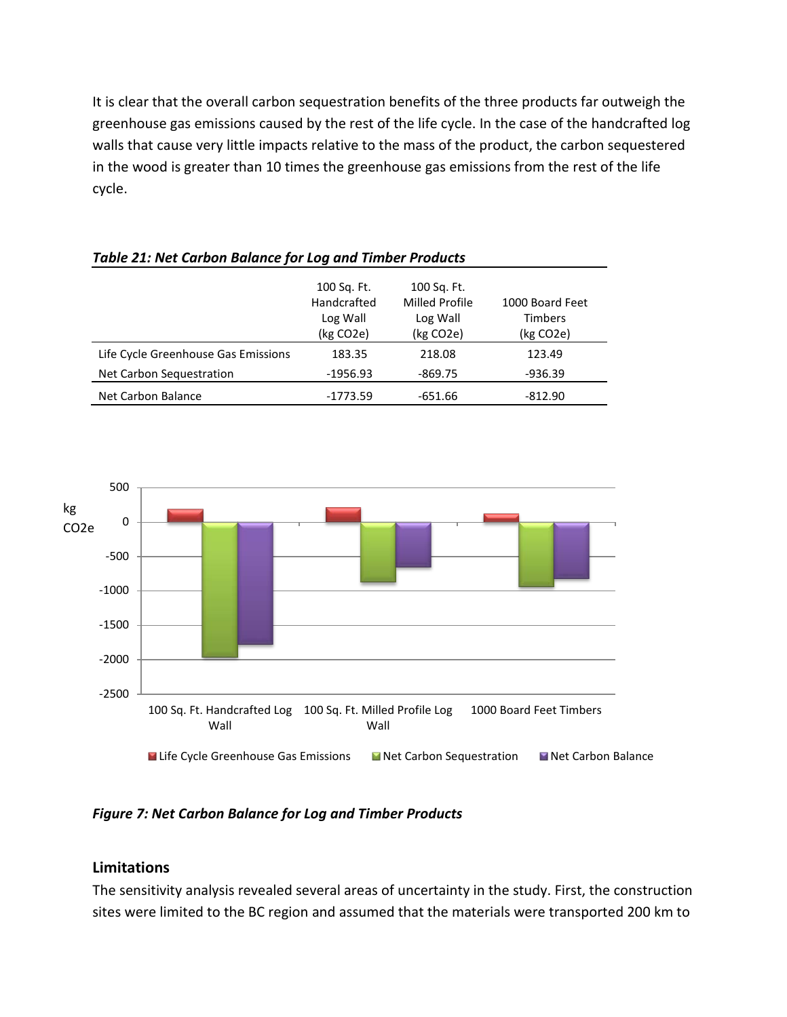It is clear that the overall carbon sequestration benefits of the three products far outweigh the greenhouse gas emissions caused by the rest of the life cycle. In the case of the handcrafted log walls that cause very little impacts relative to the mass of the product, the carbon sequestered in the wood is greater than 10 times the greenhouse gas emissions from the rest of the life cycle.

|                                     | 100 Sq. Ft.<br>Handcrafted<br>Log Wall<br>(kg CO2e) | 100 Sq. Ft.<br>Milled Profile<br>Log Wall<br>(kg CO2e) | 1000 Board Feet<br><b>Timbers</b><br>(kg CO <sub>2</sub> e) |
|-------------------------------------|-----------------------------------------------------|--------------------------------------------------------|-------------------------------------------------------------|
| Life Cycle Greenhouse Gas Emissions | 183.35                                              | 218.08                                                 | 123.49                                                      |
| Net Carbon Sequestration            | $-1956.93$                                          | $-869.75$                                              | $-936.39$                                                   |
| Net Carbon Balance                  | $-1773.59$                                          | $-651.66$                                              | $-812.90$                                                   |

*Table 21: Net Carbon Balance for Log and Timber Products*



*Figure 7: Net Carbon Balance for Log and Timber Products*

## **Limitations**

The sensitivity analysis revealed several areas of uncertainty in the study. First, the construction sites were limited to the BC region and assumed that the materials were transported 200 km to